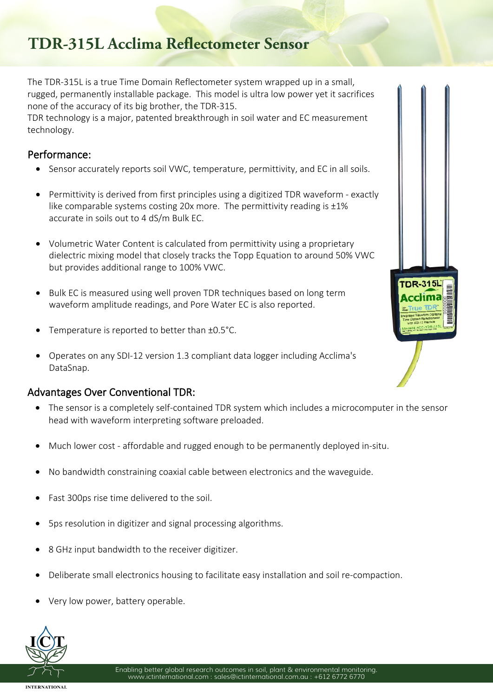# **TDR-315L Acclima Reflectometer Sensor**

The TDR-315L is a true Time Domain Reflectometer system wrapped up in a small, rugged, permanently installable package. This model is ultra low power yet it sacrifices none of the accuracy of its big brother, the TDR-315.

TDR technology is a major, patented breakthrough in soil water and EC measurement technology.

### Performance:

- Sensor accurately reports soil VWC, temperature, permittivity, and EC in all soils.
- Permittivity is derived from first principles using a digitized TDR waveform exactly like comparable systems costing 20x more. The permittivity reading is  $\pm 1\%$ accurate in soils out to 4 dS/m Bulk EC.
- Volumetric Water Content is calculated from permittivity using a proprietary dielectric mixing model that closely tracks the Topp Equation to around 50% VWC but provides additional range to 100% VWC.
- Bulk EC is measured using well proven TDR techniques based on long term waveform amplitude readings, and Pore Water EC is also reported.
- Temperature is reported to better than ±0.5°C.
- Operates on any SDI-12 version 1.3 compliant data logger including Acclima's DataSnap.

### Advantages Over Conventional TDR:

- The sensor is a completely self-contained TDR system which includes a microcomputer in the sensor head with waveform interpreting software preloaded.
- Much lower cost affordable and rugged enough to be permanently deployed in-situ.
- No bandwidth constraining coaxial cable between electronics and the waveguide.
- Fast 300ps rise time delivered to the soil.
- 5ps resolution in digitizer and signal processing algorithms.
- 8 GHz input bandwidth to the receiver digitizer.
- Deliberate small electronics housing to facilitate easy installation and soil re-compaction.
- Very low power, battery operable.





**INTERNATIONAL**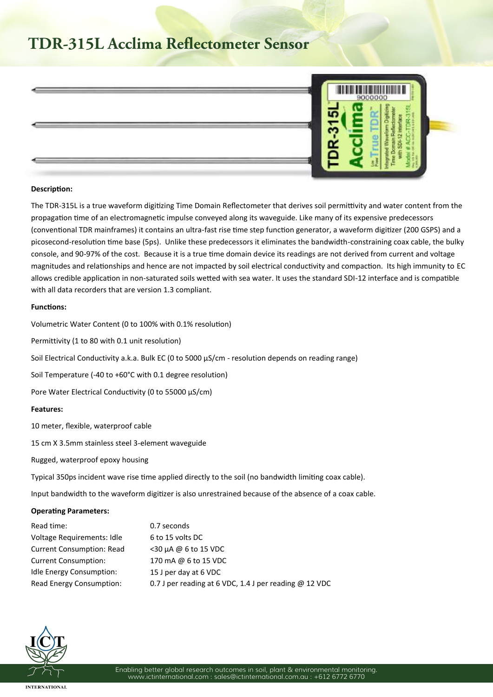## **TDR-315L Acclima Reflectometer Sensor**



#### **Description:**

The TDR-315L is a true waveform digitizing Time Domain Reflectometer that derives soil permittivity and water content from the propagation time of an electromagnetic impulse conveyed along its waveguide. Like many of its expensive predecessors (conventional TDR mainframes) it contains an ultra-fast rise time step function generator, a waveform digitizer (200 GSPS) and a picosecond-resolution time base (5ps). Unlike these predecessors it eliminates the bandwidth-constraining coax cable, the bulky console, and 90-97% of the cost. Because it is a true time domain device its readings are not derived from current and voltage magnitudes and relationships and hence are not impacted by soil electrical conductivity and compaction. Its high immunity to EC allows credible application in non-saturated soils wetted with sea water. It uses the standard SDI-12 interface and is compatible with all data recorders that are version 1.3 compliant.

#### **Functions:**

Volumetric Water Content (0 to 100% with 0.1% resolution)

Permittivity (1 to 80 with 0.1 unit resolution)

Soil Electrical Conductivity a.k.a. Bulk EC (0 to 5000  $\mu$ S/cm - resolution depends on reading range)

Soil Temperature (-40 to +60°C with 0.1 degree resolution)

Pore Water Electrical Conductivity (0 to 55000  $\mu$ S/cm)

#### **Features:**

10 meter, flexible, waterproof cable

15 cm X 3.5mm stainless steel 3-element waveguide

Rugged, waterproof epoxy housing

Typical 350ps incident wave rise time applied directly to the soil (no bandwidth limiting coax cable).

Input bandwidth to the waveform digitizer is also unrestrained because of the absence of a coax cable.

#### **Operating Parameters:**

| Read time:                       | 0.7 seconds                                              |
|----------------------------------|----------------------------------------------------------|
| Voltage Requirements: Idle       | 6 to 15 volts DC                                         |
| <b>Current Consumption: Read</b> | $<$ 30 µA @ 6 to 15 VDC                                  |
| <b>Current Consumption:</b>      | 170 mA @ 6 to 15 VDC                                     |
| <b>Idle Energy Consumption:</b>  | 15 J per day at 6 VDC                                    |
| Read Energy Consumption:         | 0.7 J per reading at 6 VDC, 1.4 J per reading $@$ 12 VDC |



**INTERNATIONAL**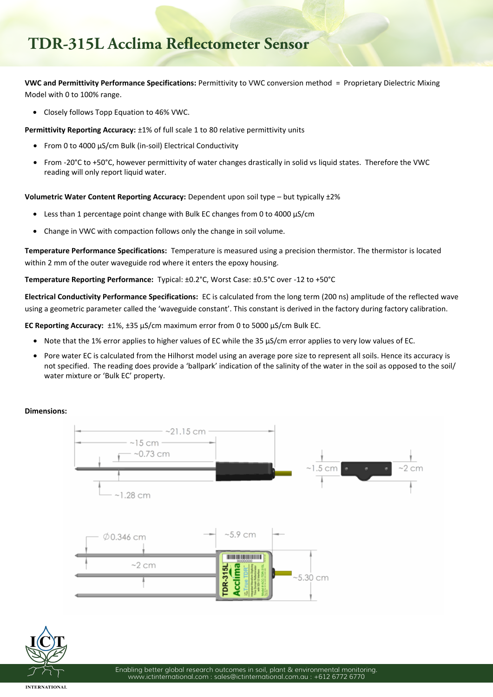## **TDR-315L Acclima Reflectometer Sensor**

**VWC and Permittivity Performance Specifications:** Permittivity to VWC conversion method = Proprietary Dielectric Mixing Model with 0 to 100% range.

• Closely follows Topp Equation to 46% VWC.

**Permittivity Reporting Accuracy:** ±1% of full scale 1 to 80 relative permittivity units

- From 0 to 4000 µS/cm Bulk (in-soil) Electrical Conductivity
- From -20°C to +50°C, however permittivity of water changes drastically in solid vs liquid states. Therefore the VWC reading will only report liquid water.

**Volumetric Water Content Reporting Accuracy:** Dependent upon soil type – but typically ±2%

- Less than 1 percentage point change with Bulk EC changes from 0 to 4000  $\mu$ S/cm
- Change in VWC with compaction follows only the change in soil volume.

**Temperature Performance Specifications:** Temperature is measured using a precision thermistor. The thermistor is located within 2 mm of the outer waveguide rod where it enters the epoxy housing.

**Temperature Reporting Performance:** Typical: ±0.2°C, Worst Case: ±0.5°C over -12 to +50°C

**Electrical Conductivity Performance Specifications:** EC is calculated from the long term (200 ns) amplitude of the reflected wave using a geometric parameter called the 'waveguide constant'. This constant is derived in the factory during factory calibration.

**EC Reporting Accuracy:** ±1%, ±35 µS/cm maximum error from 0 to 5000 µS/cm Bulk EC.

- Note that the 1% error applies to higher values of EC while the 35 µS/cm error applies to very low values of EC.
- Pore water EC is calculated from the Hilhorst model using an average pore size to represent all soils. Hence its accuracy is not specified. The reading does provide a 'ballpark' indication of the salinity of the water in the soil as opposed to the soil/ water mixture or 'Bulk EC' property.

### **Dimensions:**